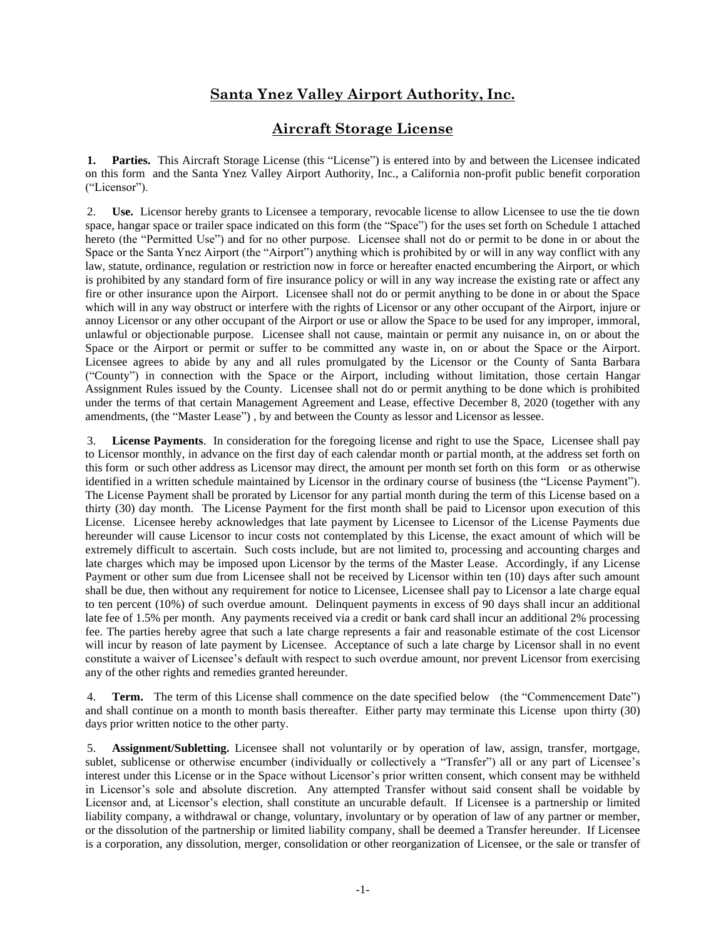# **Santa Ynez Valley Airport Authority, Inc.**

## **Aircraft Storage License**

**1. Parties.** This Aircraft Storage License (this "License") is entered into by and between the Licensee indicated on this form and the Santa Ynez Valley Airport Authority, Inc., a California non-profit public benefit corporation ("Licensor").

2. **Use.** Licensor hereby grants to Licensee a temporary, revocable license to allow Licensee to use the tie down space, hangar space or trailer space indicated on this form (the "Space") for the uses set forth on Schedule 1 attached hereto (the "Permitted Use") and for no other purpose. Licensee shall not do or permit to be done in or about the Space or the Santa Ynez Airport (the "Airport") anything which is prohibited by or will in any way conflict with any law, statute, ordinance, regulation or restriction now in force or hereafter enacted encumbering the Airport, or which is prohibited by any standard form of fire insurance policy or will in any way increase the existing rate or affect any fire or other insurance upon the Airport. Licensee shall not do or permit anything to be done in or about the Space which will in any way obstruct or interfere with the rights of Licensor or any other occupant of the Airport, injure or annoy Licensor or any other occupant of the Airport or use or allow the Space to be used for any improper, immoral, unlawful or objectionable purpose. Licensee shall not cause, maintain or permit any nuisance in, on or about the Space or the Airport or permit or suffer to be committed any waste in, on or about the Space or the Airport. Licensee agrees to abide by any and all rules promulgated by the Licensor or the County of Santa Barbara ("County") in connection with the Space or the Airport, including without limitation, those certain Hangar Assignment Rules issued by the County. Licensee shall not do or permit anything to be done which is prohibited under the terms of that certain Management Agreement and Lease, effective December 8, 2020 (together with any amendments, (the "Master Lease") , by and between the County as lessor and Licensor as lessee.

3. **License Payments**. In consideration for the foregoing license and right to use the Space, Licensee shall pay to Licensor monthly, in advance on the first day of each calendar month or partial month, at the address set forth on this form or such other address as Licensor may direct, the amount per month set forth on this form or as otherwise identified in a written schedule maintained by Licensor in the ordinary course of business (the "License Payment"). The License Payment shall be prorated by Licensor for any partial month during the term of this License based on a thirty (30) day month. The License Payment for the first month shall be paid to Licensor upon execution of this License. Licensee hereby acknowledges that late payment by Licensee to Licensor of the License Payments due hereunder will cause Licensor to incur costs not contemplated by this License, the exact amount of which will be extremely difficult to ascertain. Such costs include, but are not limited to, processing and accounting charges and late charges which may be imposed upon Licensor by the terms of the Master Lease. Accordingly, if any License Payment or other sum due from Licensee shall not be received by Licensor within ten (10) days after such amount shall be due, then without any requirement for notice to Licensee, Licensee shall pay to Licensor a late charge equal to ten percent (10%) of such overdue amount. Delinquent payments in excess of 90 days shall incur an additional late fee of 1.5% per month. Any payments received via a credit or bank card shall incur an additional 2% processing fee. The parties hereby agree that such a late charge represents a fair and reasonable estimate of the cost Licensor will incur by reason of late payment by Licensee. Acceptance of such a late charge by Licensor shall in no event constitute a waiver of Licensee's default with respect to such overdue amount, nor prevent Licensor from exercising any of the other rights and remedies granted hereunder.

4. **Term.** The term of this License shall commence on the date specified below (the "Commencement Date") and shall continue on a month to month basis thereafter. Either party may terminate this License upon thirty (30) days prior written notice to the other party.

5. **Assignment/Subletting.** Licensee shall not voluntarily or by operation of law, assign, transfer, mortgage, sublet, sublicense or otherwise encumber (individually or collectively a "Transfer") all or any part of Licensee's interest under this License or in the Space without Licensor's prior written consent, which consent may be withheld in Licensor's sole and absolute discretion. Any attempted Transfer without said consent shall be voidable by Licensor and, at Licensor's election, shall constitute an uncurable default. If Licensee is a partnership or limited liability company, a withdrawal or change, voluntary, involuntary or by operation of law of any partner or member, or the dissolution of the partnership or limited liability company, shall be deemed a Transfer hereunder. If Licensee is a corporation, any dissolution, merger, consolidation or other reorganization of Licensee, or the sale or transfer of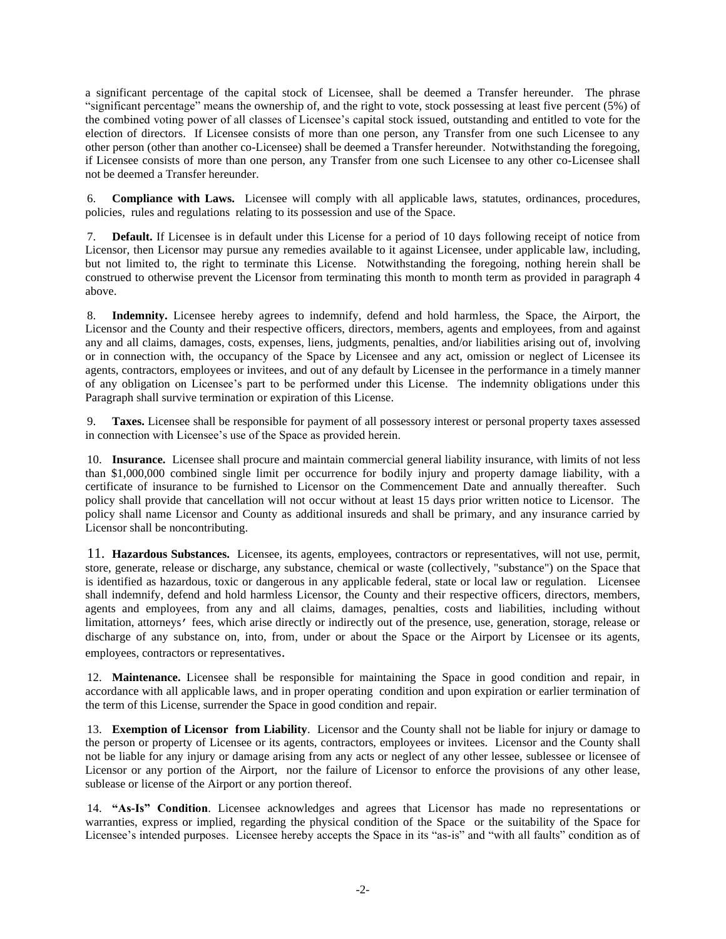a significant percentage of the capital stock of Licensee, shall be deemed a Transfer hereunder. The phrase "significant percentage" means the ownership of, and the right to vote, stock possessing at least five percent (5%) of the combined voting power of all classes of Licensee's capital stock issued, outstanding and entitled to vote for the election of directors. If Licensee consists of more than one person, any Transfer from one such Licensee to any other person (other than another co-Licensee) shall be deemed a Transfer hereunder. Notwithstanding the foregoing, if Licensee consists of more than one person, any Transfer from one such Licensee to any other co-Licensee shall not be deemed a Transfer hereunder.

6. **Compliance with Laws.** Licensee will comply with all applicable laws, statutes, ordinances, procedures, policies, rules and regulations relating to its possession and use of the Space.

7. **Default.** If Licensee is in default under this License for a period of 10 days following receipt of notice from Licensor, then Licensor may pursue any remedies available to it against Licensee, under applicable law, including, but not limited to, the right to terminate this License. Notwithstanding the foregoing, nothing herein shall be construed to otherwise prevent the Licensor from terminating this month to month term as provided in paragraph 4 above.

8. **Indemnity.** Licensee hereby agrees to indemnify, defend and hold harmless, the Space, the Airport, the Licensor and the County and their respective officers, directors, members, agents and employees, from and against any and all claims, damages, costs, expenses, liens, judgments, penalties, and/or liabilities arising out of, involving or in connection with, the occupancy of the Space by Licensee and any act, omission or neglect of Licensee its agents, contractors, employees or invitees, and out of any default by Licensee in the performance in a timely manner of any obligation on Licensee's part to be performed under this License. The indemnity obligations under this Paragraph shall survive termination or expiration of this License.

9. **Taxes.** Licensee shall be responsible for payment of all possessory interest or personal property taxes assessed in connection with Licensee's use of the Space as provided herein.

10. **Insurance.** Licensee shall procure and maintain commercial general liability insurance, with limits of not less than \$1,000,000 combined single limit per occurrence for bodily injury and property damage liability, with a certificate of insurance to be furnished to Licensor on the Commencement Date and annually thereafter. Such policy shall provide that cancellation will not occur without at least 15 days prior written notice to Licensor. The policy shall name Licensor and County as additional insureds and shall be primary, and any insurance carried by Licensor shall be noncontributing.

11. **Hazardous Substances.** Licensee, its agents, employees, contractors or representatives, will not use, permit, store, generate, release or discharge, any substance, chemical or waste (collectively, "substance") on the Space that is identified as hazardous, toxic or dangerous in any applicable federal, state or local law or regulation. Licensee shall indemnify, defend and hold harmless Licensor, the County and their respective officers, directors, members, agents and employees, from any and all claims, damages, penalties, costs and liabilities, including without limitation, attorneys' fees, which arise directly or indirectly out of the presence, use, generation, storage, release or discharge of any substance on, into, from, under or about the Space or the Airport by Licensee or its agents, employees, contractors or representatives.

12. **Maintenance.** Licensee shall be responsible for maintaining the Space in good condition and repair, in accordance with all applicable laws, and in proper operating condition and upon expiration or earlier termination of the term of this License, surrender the Space in good condition and repair.

13. **Exemption of Licensor from Liability**. Licensor and the County shall not be liable for injury or damage to the person or property of Licensee or its agents, contractors, employees or invitees. Licensor and the County shall not be liable for any injury or damage arising from any acts or neglect of any other lessee, sublessee or licensee of Licensor or any portion of the Airport, nor the failure of Licensor to enforce the provisions of any other lease, sublease or license of the Airport or any portion thereof.

14. **"As-Is" Condition**. Licensee acknowledges and agrees that Licensor has made no representations or warranties, express or implied, regarding the physical condition of the Space or the suitability of the Space for Licensee's intended purposes. Licensee hereby accepts the Space in its "as-is" and "with all faults" condition as of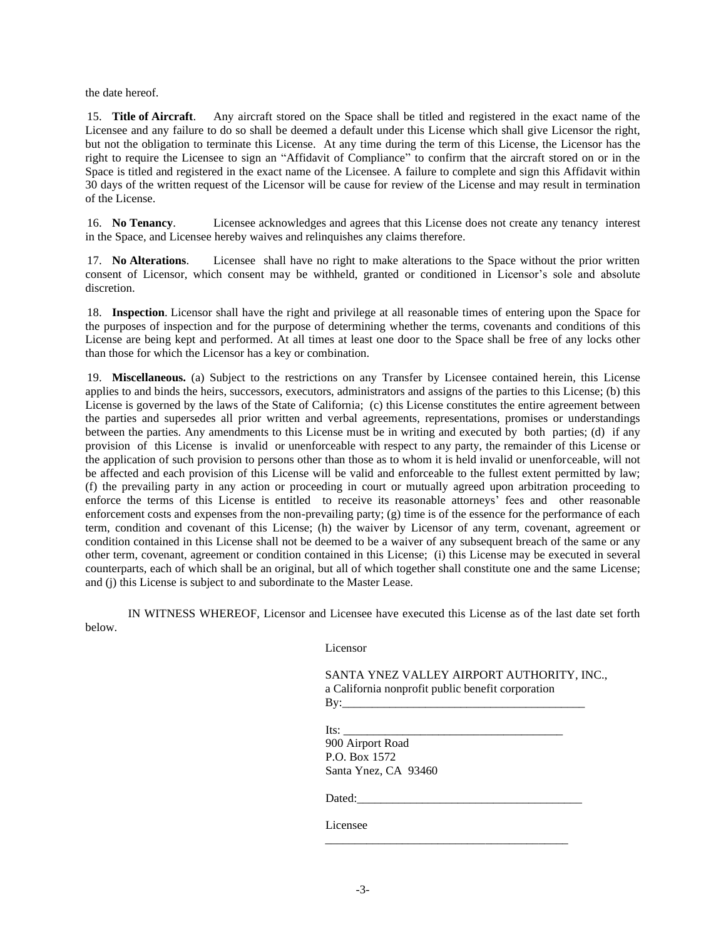the date hereof.

15. **Title of Aircraft**. Any aircraft stored on the Space shall be titled and registered in the exact name of the Licensee and any failure to do so shall be deemed a default under this License which shall give Licensor the right, but not the obligation to terminate this License. At any time during the term of this License, the Licensor has the right to require the Licensee to sign an "Affidavit of Compliance" to confirm that the aircraft stored on or in the Space is titled and registered in the exact name of the Licensee. A failure to complete and sign this Affidavit within 30 days of the written request of the Licensor will be cause for review of the License and may result in termination of the License.

16. **No Tenancy**. Licensee acknowledges and agrees that this License does not create any tenancy interest in the Space, and Licensee hereby waives and relinquishes any claims therefore.

17. **No Alterations**. Licensee shall have no right to make alterations to the Space without the prior written consent of Licensor, which consent may be withheld, granted or conditioned in Licensor's sole and absolute discretion.

18. **Inspection**. Licensor shall have the right and privilege at all reasonable times of entering upon the Space for the purposes of inspection and for the purpose of determining whether the terms, covenants and conditions of this License are being kept and performed. At all times at least one door to the Space shall be free of any locks other than those for which the Licensor has a key or combination.

19. **Miscellaneous.** (a) Subject to the restrictions on any Transfer by Licensee contained herein, this License applies to and binds the heirs, successors, executors, administrators and assigns of the parties to this License; (b) this License is governed by the laws of the State of California; (c) this License constitutes the entire agreement between the parties and supersedes all prior written and verbal agreements, representations, promises or understandings between the parties. Any amendments to this License must be in writing and executed by both parties; (d) if any provision of this License is invalid or unenforceable with respect to any party, the remainder of this License or the application of such provision to persons other than those as to whom it is held invalid or unenforceable, will not be affected and each provision of this License will be valid and enforceable to the fullest extent permitted by law; (f) the prevailing party in any action or proceeding in court or mutually agreed upon arbitration proceeding to enforce the terms of this License is entitled to receive its reasonable attorneys' fees and other reasonable enforcement costs and expenses from the non-prevailing party; (g) time is of the essence for the performance of each term, condition and covenant of this License; (h) the waiver by Licensor of any term, covenant, agreement or condition contained in this License shall not be deemed to be a waiver of any subsequent breach of the same or any other term, covenant, agreement or condition contained in this License; (i) this License may be executed in several counterparts, each of which shall be an original, but all of which together shall constitute one and the same License; and (j) this License is subject to and subordinate to the Master Lease.

IN WITNESS WHEREOF, Licensor and Licensee have executed this License as of the last date set forth below.

Licensor

SANTA YNEZ VALLEY AIRPORT AUTHORITY, INC., a California nonprofit public benefit corporation By:\_\_\_\_\_\_\_\_\_\_\_\_\_\_\_\_\_\_\_\_\_\_\_\_\_\_\_\_\_\_\_\_\_\_\_\_\_\_\_\_\_

\_\_\_\_\_\_\_\_\_\_\_\_\_\_\_\_\_\_\_\_\_\_\_\_\_\_\_\_\_\_\_\_\_\_\_\_\_\_\_\_\_

Its: \_\_\_\_\_\_\_\_\_\_\_\_\_\_\_\_\_\_\_\_\_\_\_\_\_\_\_\_\_\_\_\_\_\_\_\_\_

900 Airport Road P.O. Box 1572 Santa Ynez, CA 93460

Dated:

Licensee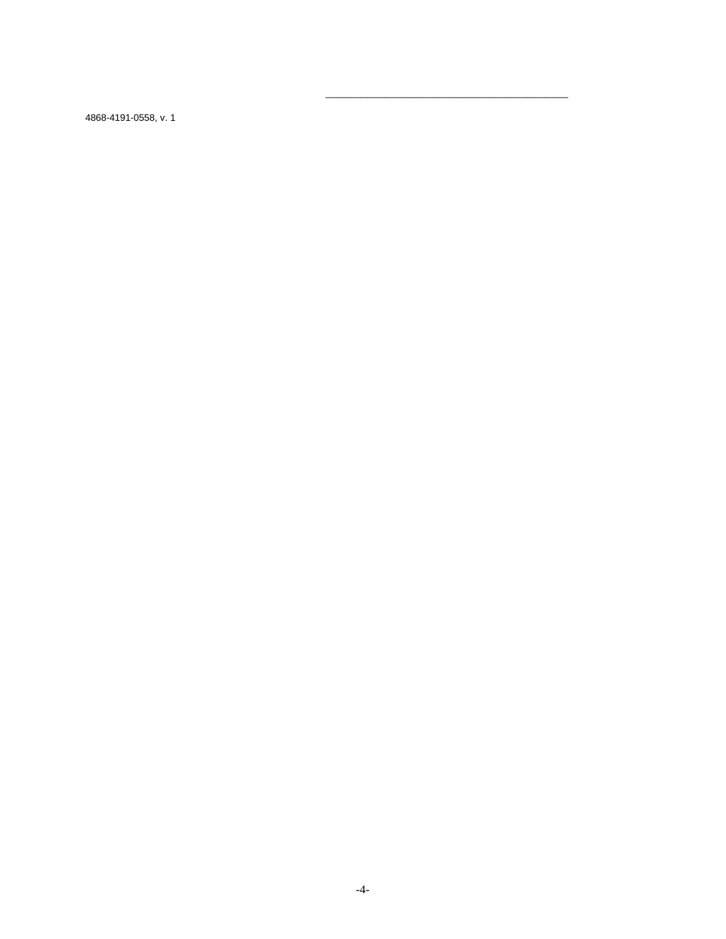4868-4191-0558, v. 1